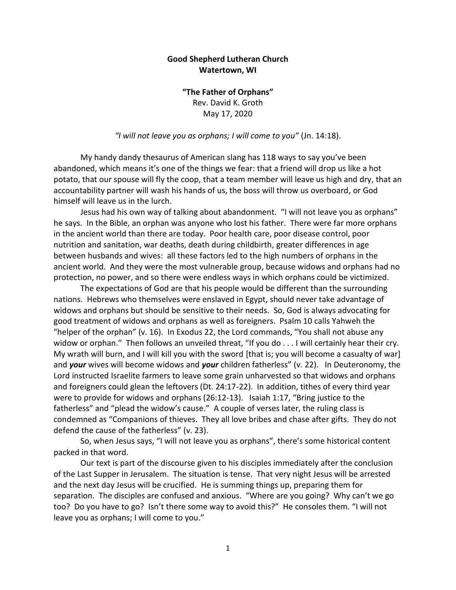## **Good Shepherd Lutheran Church Watertown, WI**

**"The Father of Orphans"** Rev. David K. Groth May 17, 2020

*"I will not leave you as orphans; I will come to you"* (Jn. 14:18).

My handy dandy thesaurus of American slang has 118 ways to say you've been abandoned, which means it's one of the things we fear: that a friend will drop us like a hot potato, that our spouse will fly the coop, that a team member will leave us high and dry, that an accountability partner will wash his hands of us, the boss will throw us overboard, or God himself will leave us in the lurch.

Jesus had his own way of talking about abandonment. "I will not leave you as orphans" he says. In the Bible, an orphan was anyone who lost his father. There were far more orphans in the ancient world than there are today. Poor health care, poor disease control, poor nutrition and sanitation, war deaths, death during childbirth, greater differences in age between husbands and wives: all these factors led to the high numbers of orphans in the ancient world. And they were the most vulnerable group, because widows and orphans had no protection, no power, and so there were endless ways in which orphans could be victimized.

The expectations of God are that his people would be different than the surrounding nations. Hebrews who themselves were enslaved in Egypt, should never take advantage of widows and orphans but should be sensitive to their needs. So, God is always advocating for good treatment of widows and orphans as well as foreigners. Psalm 10 calls Yahweh the "helper of the orphan" (v. 16). In Exodus 22, the Lord commands, "You shall not abuse any widow or orphan." Then follows an unveiled threat, "If you do . . . I will certainly hear their cry. My wrath will burn, and I will kill you with the sword [that is; you will become a casualty of war] and *your* wives will become widows and *your* children fatherless" (v. 22). In Deuteronomy, the Lord instructed Israelite farmers to leave some grain unharvested so that widows and orphans and foreigners could glean the leftovers (Dt. 24:17-22). In addition, tithes of every third year were to provide for widows and orphans (26:12-13). Isaiah 1:17, "Bring justice to the fatherless" and "plead the widow's cause." A couple of verses later, the ruling class is condemned as "Companions of thieves. They all love bribes and chase after gifts. They do not defend the cause of the fatherless" (v. 23).

So, when Jesus says, "I will not leave you as orphans", there's some historical content packed in that word.

Our text is part of the discourse given to his disciples immediately after the conclusion of the Last Supper in Jerusalem. The situation is tense. That very night Jesus will be arrested and the next day Jesus will be crucified. He is summing things up, preparing them for separation. The disciples are confused and anxious. "Where are you going? Why can't we go too? Do you have to go? Isn't there some way to avoid this?" He consoles them. "I will not leave you as orphans; I will come to you."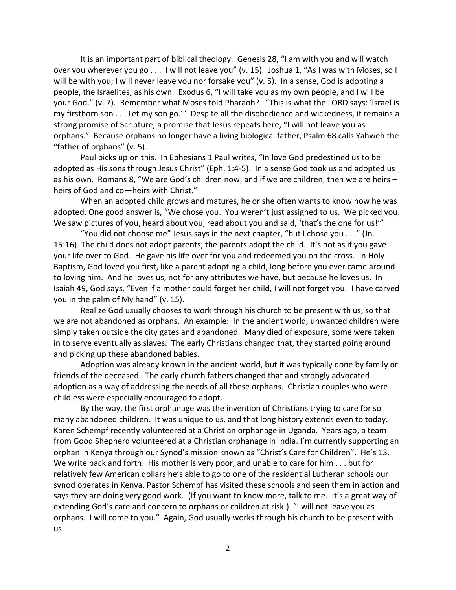It is an important part of biblical theology. Genesis 28, "I am with you and will watch over you wherever you go . . . I will not leave you" (v. 15). Joshua 1, "As I was with Moses, so I will be with you; I will never leave you nor forsake you" (v. 5). In a sense, God is adopting a people, the Israelites, as his own. Exodus 6, "I will take you as my own people, and I will be your God." (v. 7). Remember what Moses told Pharaoh? "This is what the LORD says: 'Israel is my firstborn son . . . Let my son go.'" Despite all the disobedience and wickedness, it remains a strong promise of Scripture, a promise that Jesus repeats here, "I will not leave you as orphans." Because orphans no longer have a living biological father, Psalm 68 calls Yahweh the "father of orphans" (v. 5).

Paul picks up on this. In Ephesians 1 Paul writes, "In love God predestined us to be adopted as His sons through Jesus Christ" (Eph. 1:4-5). In a sense God took us and adopted us as his own. Romans 8, "We are God's children now, and if we are children, then we are heirs – heirs of God and co—heirs with Christ."

When an adopted child grows and matures, he or she often wants to know how he was adopted. One good answer is, "We chose you. You weren't just assigned to us. We picked you. We saw pictures of you, heard about you, read about you and said, 'that's the one for us!'"

"You did not choose me" Jesus says in the next chapter, "but I chose you . . ." (Jn. 15:16). The child does not adopt parents; the parents adopt the child. It's not as if you gave your life over to God. He gave his life over for you and redeemed you on the cross. In Holy Baptism, God loved you first, like a parent adopting a child, long before you ever came around to loving him. And he loves us, not for any attributes we have, but because he loves us. In Isaiah 49, God says, "Even if a mother could forget her child, I will not forget you. I have carved you in the palm of My hand" (v. 15).

Realize God usually chooses to work through his church to be present with us, so that we are not abandoned as orphans. An example: In the ancient world, unwanted children were simply taken outside the city gates and abandoned. Many died of exposure, some were taken in to serve eventually as slaves. The early Christians changed that, they started going around and picking up these abandoned babies.

Adoption was already known in the ancient world, but it was typically done by family or friends of the deceased. The early church fathers changed that and strongly advocated adoption as a way of addressing the needs of all these orphans. Christian couples who were childless were especially encouraged to adopt.

By the way, the first orphanage was the invention of Christians trying to care for so many abandoned children. It was unique to us, and that long history extends even to today. Karen Schempf recently volunteered at a Christian orphanage in Uganda. Years ago, a team from Good Shepherd volunteered at a Christian orphanage in India. I'm currently supporting an orphan in Kenya through our Synod's mission known as "Christ's Care for Children". He's 13. We write back and forth. His mother is very poor, and unable to care for him . . . but for relatively few American dollars he's able to go to one of the residential Lutheran schools our synod operates in Kenya. Pastor Schempf has visited these schools and seen them in action and says they are doing very good work. (If you want to know more, talk to me. It's a great way of extending God's care and concern to orphans or children at risk.) "I will not leave you as orphans. I will come to you." Again, God usually works through his church to be present with us.